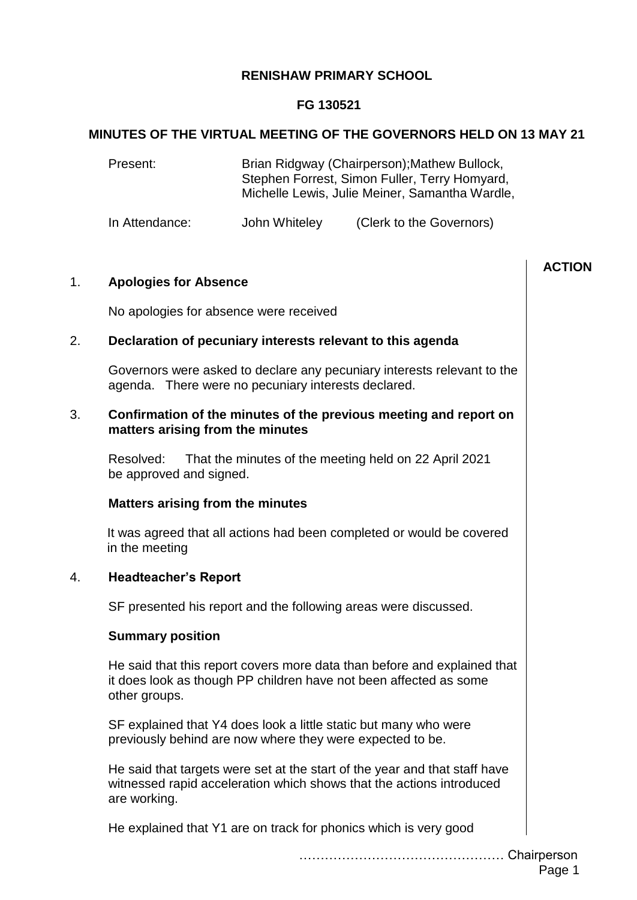### **RENISHAW PRIMARY SCHOOL**

## **FG 130521**

### **MINUTES OF THE VIRTUAL MEETING OF THE GOVERNORS HELD ON 13 MAY 21**

Present: Brian Ridgway (Chairperson);Mathew Bullock, Stephen Forrest, Simon Fuller, Terry Homyard, Michelle Lewis, Julie Meiner, Samantha Wardle,

In Attendance: John Whiteley (Clerk to the Governors)

|                |                                                                                                                                                                    | <b>ACTION</b> |
|----------------|--------------------------------------------------------------------------------------------------------------------------------------------------------------------|---------------|
| 1 <sub>1</sub> | <b>Apologies for Absence</b>                                                                                                                                       |               |
|                | No apologies for absence were received                                                                                                                             |               |
| 2.             | Declaration of pecuniary interests relevant to this agenda                                                                                                         |               |
|                | Governors were asked to declare any pecuniary interests relevant to the<br>agenda. There were no pecuniary interests declared.                                     |               |
| 3.             | Confirmation of the minutes of the previous meeting and report on<br>matters arising from the minutes                                                              |               |
|                | Resolved:<br>That the minutes of the meeting held on 22 April 2021<br>be approved and signed.                                                                      |               |
|                | <b>Matters arising from the minutes</b>                                                                                                                            |               |
|                | It was agreed that all actions had been completed or would be covered<br>in the meeting                                                                            |               |
| 4.             | <b>Headteacher's Report</b>                                                                                                                                        |               |
|                | SF presented his report and the following areas were discussed.                                                                                                    |               |
|                | <b>Summary position</b>                                                                                                                                            |               |
|                | He said that this report covers more data than before and explained that<br>it does look as though PP children have not been affected as some<br>other groups.     |               |
|                | SF explained that Y4 does look a little static but many who were<br>previously behind are now where they were expected to be.                                      |               |
|                | He said that targets were set at the start of the year and that staff have<br>witnessed rapid acceleration which shows that the actions introduced<br>are working. |               |
|                | He explained that Y1 are on track for phonics which is very good                                                                                                   |               |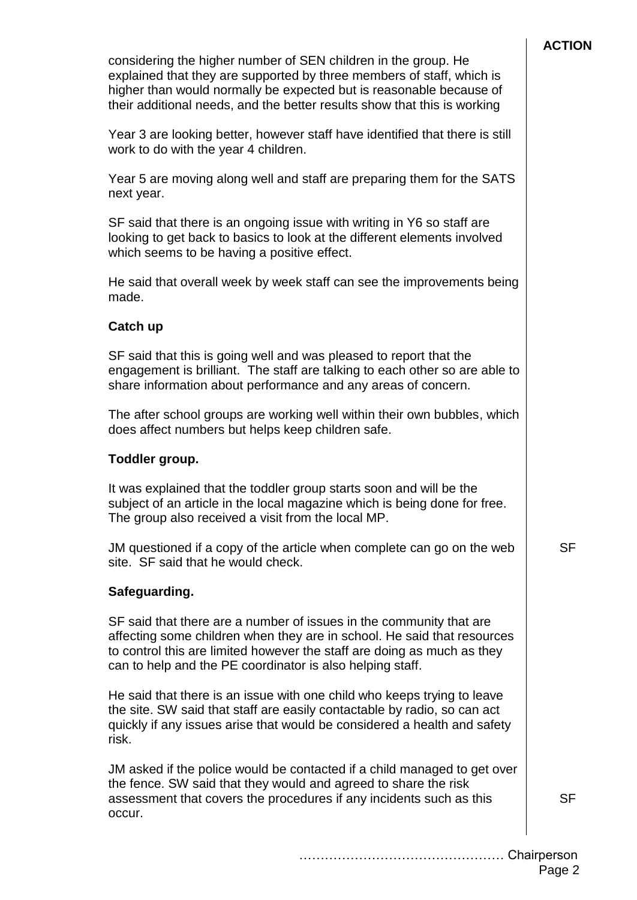| considering the higher number of SEN children in the group. He<br>explained that they are supported by three members of staff, which is<br>higher than would normally be expected but is reasonable because of<br>their additional needs, and the better results show that this is working |  |  |  |  |
|--------------------------------------------------------------------------------------------------------------------------------------------------------------------------------------------------------------------------------------------------------------------------------------------|--|--|--|--|
| Year 3 are looking better, however staff have identified that there is still<br>work to do with the year 4 children.                                                                                                                                                                       |  |  |  |  |
| Year 5 are moving along well and staff are preparing them for the SATS<br>next year.                                                                                                                                                                                                       |  |  |  |  |
| SF said that there is an ongoing issue with writing in Y6 so staff are<br>looking to get back to basics to look at the different elements involved<br>which seems to be having a positive effect.                                                                                          |  |  |  |  |
| He said that overall week by week staff can see the improvements being<br>made.                                                                                                                                                                                                            |  |  |  |  |
| Catch up                                                                                                                                                                                                                                                                                   |  |  |  |  |
| SF said that this is going well and was pleased to report that the<br>engagement is brilliant. The staff are talking to each other so are able to<br>share information about performance and any areas of concern.                                                                         |  |  |  |  |
| The after school groups are working well within their own bubbles, which<br>does affect numbers but helps keep children safe.                                                                                                                                                              |  |  |  |  |
| Toddler group.                                                                                                                                                                                                                                                                             |  |  |  |  |
| It was explained that the toddler group starts soon and will be the<br>subject of an article in the local magazine which is being done for free.<br>The group also received a visit from the local MP.                                                                                     |  |  |  |  |
| JM questioned if a copy of the article when complete can go on the web<br>site. SF said that he would check.                                                                                                                                                                               |  |  |  |  |
| Safeguarding.                                                                                                                                                                                                                                                                              |  |  |  |  |
| SF said that there are a number of issues in the community that are<br>affecting some children when they are in school. He said that resources<br>to control this are limited however the staff are doing as much as they<br>can to help and the PE coordinator is also helping staff.     |  |  |  |  |
| He said that there is an issue with one child who keeps trying to leave<br>the site. SW said that staff are easily contactable by radio, so can act<br>quickly if any issues arise that would be considered a health and safety<br>risk.                                                   |  |  |  |  |
| JM asked if the police would be contacted if a child managed to get over<br>the fence. SW said that they would and agreed to share the risk<br>assessment that covers the procedures if any incidents such as this<br>occur.                                                               |  |  |  |  |
|                                                                                                                                                                                                                                                                                            |  |  |  |  |

SF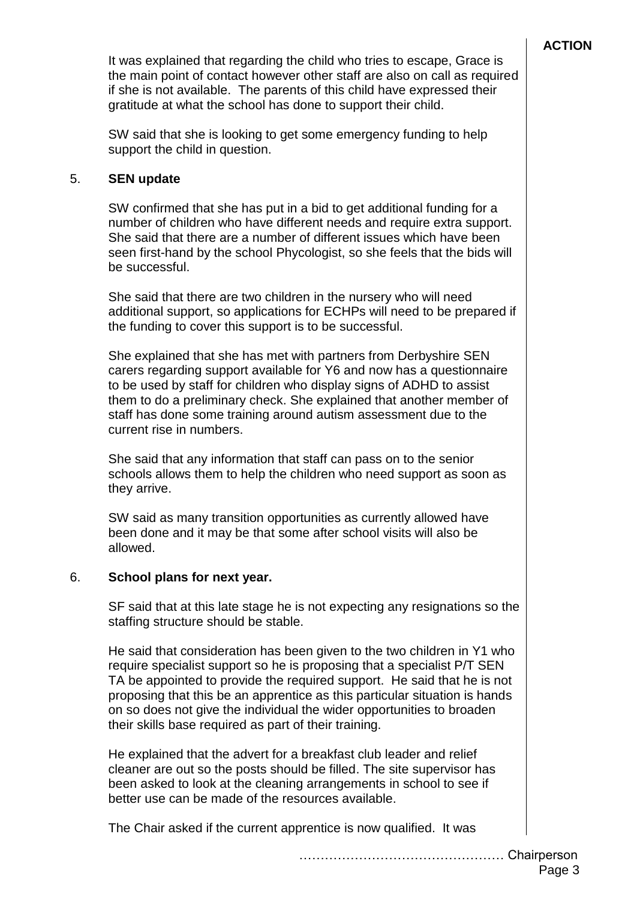It was explained that regarding the child who tries to escape, Grace is the main point of contact however other staff are also on call as required if she is not available. The parents of this child have expressed their gratitude at what the school has done to support their child.

SW said that she is looking to get some emergency funding to help support the child in question.

### 5. **SEN update**

SW confirmed that she has put in a bid to get additional funding for a number of children who have different needs and require extra support. She said that there are a number of different issues which have been seen first-hand by the school Phycologist, so she feels that the bids will be successful.

She said that there are two children in the nursery who will need additional support, so applications for ECHPs will need to be prepared if the funding to cover this support is to be successful.

She explained that she has met with partners from Derbyshire SEN carers regarding support available for Y6 and now has a questionnaire to be used by staff for children who display signs of ADHD to assist them to do a preliminary check. She explained that another member of staff has done some training around autism assessment due to the current rise in numbers.

She said that any information that staff can pass on to the senior schools allows them to help the children who need support as soon as they arrive.

SW said as many transition opportunities as currently allowed have been done and it may be that some after school visits will also be allowed.

### 6. **School plans for next year.**

SF said that at this late stage he is not expecting any resignations so the staffing structure should be stable.

He said that consideration has been given to the two children in Y1 who require specialist support so he is proposing that a specialist P/T SEN TA be appointed to provide the required support. He said that he is not proposing that this be an apprentice as this particular situation is hands on so does not give the individual the wider opportunities to broaden their skills base required as part of their training.

He explained that the advert for a breakfast club leader and relief cleaner are out so the posts should be filled. The site supervisor has been asked to look at the cleaning arrangements in school to see if better use can be made of the resources available.

The Chair asked if the current apprentice is now qualified. It was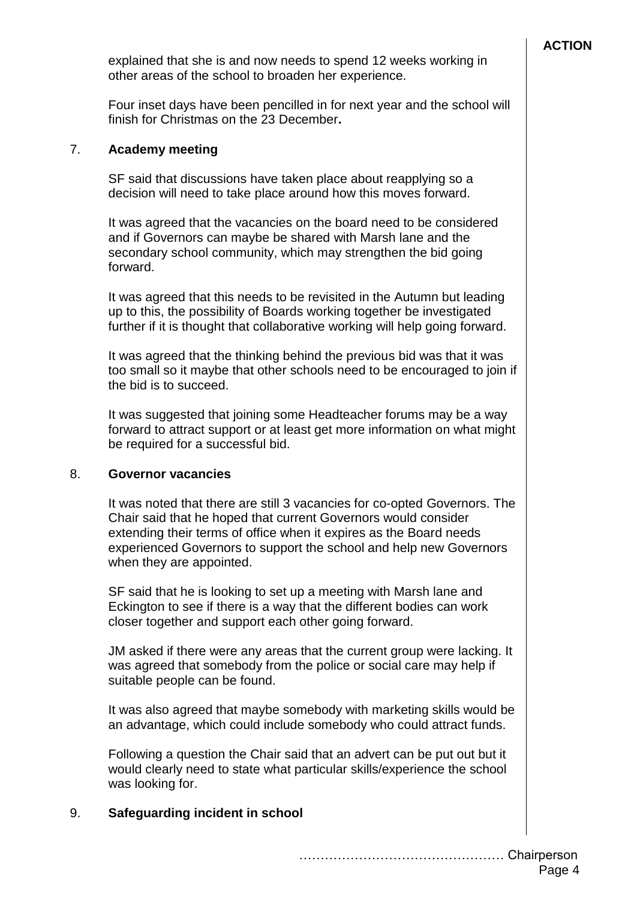explained that she is and now needs to spend 12 weeks working in other areas of the school to broaden her experience.

Four inset days have been pencilled in for next year and the school will finish for Christmas on the 23 December**.**

### 7. **Academy meeting**

SF said that discussions have taken place about reapplying so a decision will need to take place around how this moves forward.

It was agreed that the vacancies on the board need to be considered and if Governors can maybe be shared with Marsh lane and the secondary school community, which may strengthen the bid going forward.

It was agreed that this needs to be revisited in the Autumn but leading up to this, the possibility of Boards working together be investigated further if it is thought that collaborative working will help going forward.

It was agreed that the thinking behind the previous bid was that it was too small so it maybe that other schools need to be encouraged to join if the bid is to succeed.

It was suggested that joining some Headteacher forums may be a way forward to attract support or at least get more information on what might be required for a successful bid.

#### 8. **Governor vacancies**

It was noted that there are still 3 vacancies for co-opted Governors. The Chair said that he hoped that current Governors would consider extending their terms of office when it expires as the Board needs experienced Governors to support the school and help new Governors when they are appointed.

SF said that he is looking to set up a meeting with Marsh lane and Eckington to see if there is a way that the different bodies can work closer together and support each other going forward.

JM asked if there were any areas that the current group were lacking. It was agreed that somebody from the police or social care may help if suitable people can be found.

It was also agreed that maybe somebody with marketing skills would be an advantage, which could include somebody who could attract funds.

Following a question the Chair said that an advert can be put out but it would clearly need to state what particular skills/experience the school was looking for.

# 9. **Safeguarding incident in school**

………………………………………… Chairperson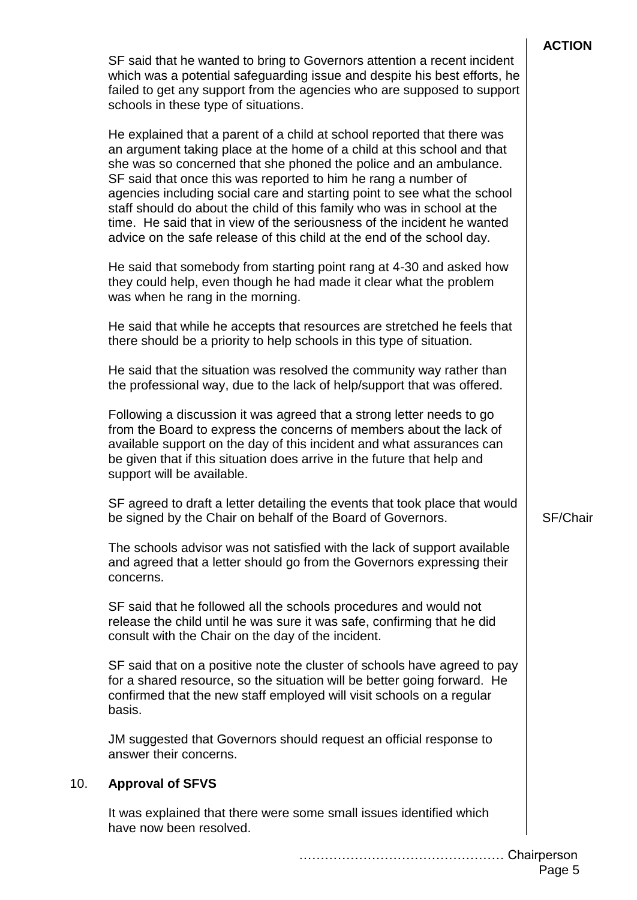| SF said that he wanted to bring to Governors attention a recent incident<br>which was a potential safeguarding issue and despite his best efforts, he<br>failed to get any support from the agencies who are supposed to support<br>schools in these type of situations.                                                                                                                                                                                                                                                                                                                              |          |  |  |
|-------------------------------------------------------------------------------------------------------------------------------------------------------------------------------------------------------------------------------------------------------------------------------------------------------------------------------------------------------------------------------------------------------------------------------------------------------------------------------------------------------------------------------------------------------------------------------------------------------|----------|--|--|
| He explained that a parent of a child at school reported that there was<br>an argument taking place at the home of a child at this school and that<br>she was so concerned that she phoned the police and an ambulance.<br>SF said that once this was reported to him he rang a number of<br>agencies including social care and starting point to see what the school<br>staff should do about the child of this family who was in school at the<br>time. He said that in view of the seriousness of the incident he wanted<br>advice on the safe release of this child at the end of the school day. |          |  |  |
| He said that somebody from starting point rang at 4-30 and asked how<br>they could help, even though he had made it clear what the problem<br>was when he rang in the morning.                                                                                                                                                                                                                                                                                                                                                                                                                        |          |  |  |
| He said that while he accepts that resources are stretched he feels that<br>there should be a priority to help schools in this type of situation.                                                                                                                                                                                                                                                                                                                                                                                                                                                     |          |  |  |
| He said that the situation was resolved the community way rather than<br>the professional way, due to the lack of help/support that was offered.                                                                                                                                                                                                                                                                                                                                                                                                                                                      |          |  |  |
| Following a discussion it was agreed that a strong letter needs to go<br>from the Board to express the concerns of members about the lack of<br>available support on the day of this incident and what assurances can<br>be given that if this situation does arrive in the future that help and<br>support will be available.                                                                                                                                                                                                                                                                        |          |  |  |
| SF agreed to draft a letter detailing the events that took place that would<br>be signed by the Chair on behalf of the Board of Governors.                                                                                                                                                                                                                                                                                                                                                                                                                                                            | SF/Chair |  |  |
| The schools advisor was not satisfied with the lack of support available<br>and agreed that a letter should go from the Governors expressing their<br>concerns.                                                                                                                                                                                                                                                                                                                                                                                                                                       |          |  |  |
| SF said that he followed all the schools procedures and would not<br>release the child until he was sure it was safe, confirming that he did<br>consult with the Chair on the day of the incident.                                                                                                                                                                                                                                                                                                                                                                                                    |          |  |  |
| SF said that on a positive note the cluster of schools have agreed to pay<br>for a shared resource, so the situation will be better going forward. He<br>confirmed that the new staff employed will visit schools on a regular<br>basis.                                                                                                                                                                                                                                                                                                                                                              |          |  |  |
| JM suggested that Governors should request an official response to<br>answer their concerns.                                                                                                                                                                                                                                                                                                                                                                                                                                                                                                          |          |  |  |
| <b>Approval of SFVS</b>                                                                                                                                                                                                                                                                                                                                                                                                                                                                                                                                                                               |          |  |  |
| It was explained that there were some small issues identified which<br>have now been resolved.                                                                                                                                                                                                                                                                                                                                                                                                                                                                                                        |          |  |  |

**10.** 

………………………………………… Chairperson

 $\mathbf{I}$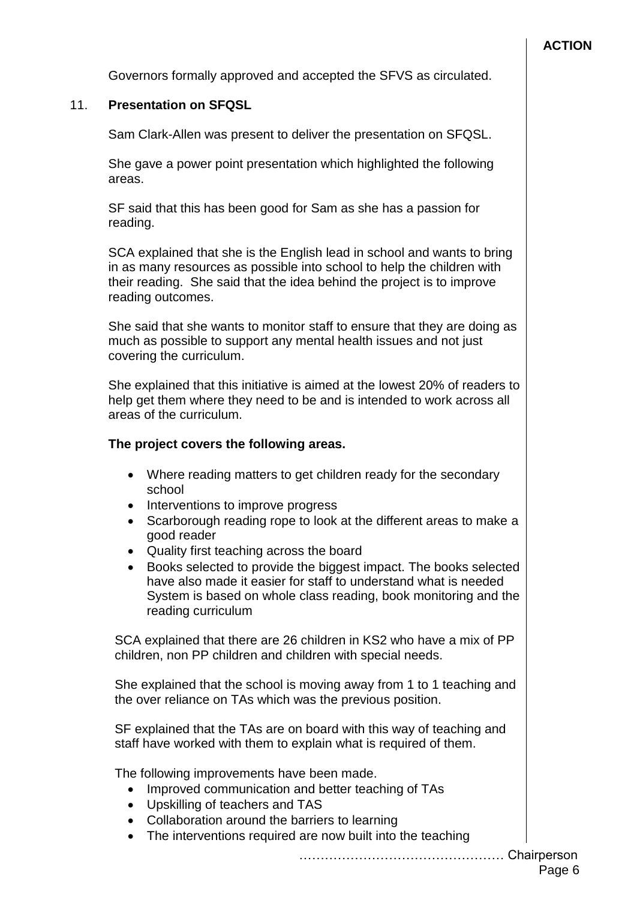Governors formally approved and accepted the SFVS as circulated.

### 11. **Presentation on SFQSL**

Sam Clark-Allen was present to deliver the presentation on SFQSL.

She gave a power point presentation which highlighted the following areas.

SF said that this has been good for Sam as she has a passion for reading.

SCA explained that she is the English lead in school and wants to bring in as many resources as possible into school to help the children with their reading. She said that the idea behind the project is to improve reading outcomes.

She said that she wants to monitor staff to ensure that they are doing as much as possible to support any mental health issues and not just covering the curriculum.

She explained that this initiative is aimed at the lowest 20% of readers to help get them where they need to be and is intended to work across all areas of the curriculum.

## **The project covers the following areas.**

- Where reading matters to get children ready for the secondary school
- Interventions to improve progress
- Scarborough reading rope to look at the different areas to make a good reader
- Quality first teaching across the board
- Books selected to provide the biggest impact. The books selected have also made it easier for staff to understand what is needed System is based on whole class reading, book monitoring and the reading curriculum

SCA explained that there are 26 children in KS2 who have a mix of PP children, non PP children and children with special needs.

She explained that the school is moving away from 1 to 1 teaching and the over reliance on TAs which was the previous position.

SF explained that the TAs are on board with this way of teaching and staff have worked with them to explain what is required of them.

The following improvements have been made.

- Improved communication and better teaching of TAs
- Upskilling of teachers and TAS
- Collaboration around the barriers to learning
- The interventions required are now built into the teaching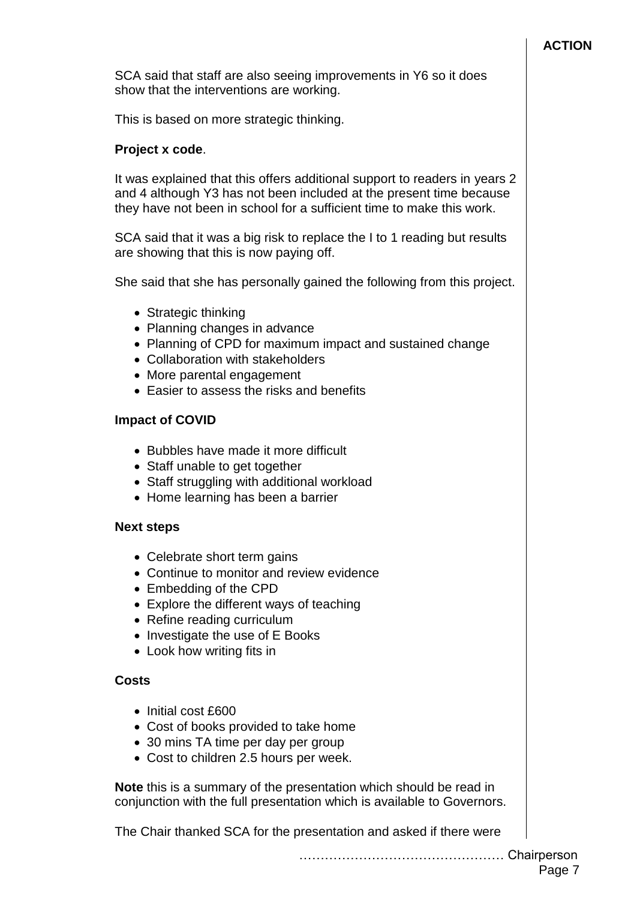### **ACTION**

SCA said that staff are also seeing improvements in Y6 so it does show that the interventions are working.

This is based on more strategic thinking.

### **Project x code**.

It was explained that this offers additional support to readers in years 2 and 4 although Y3 has not been included at the present time because they have not been in school for a sufficient time to make this work.

SCA said that it was a big risk to replace the I to 1 reading but results are showing that this is now paying off.

She said that she has personally gained the following from this project.

- Strategic thinking
- Planning changes in advance
- Planning of CPD for maximum impact and sustained change
- Collaboration with stakeholders
- More parental engagement
- Easier to assess the risks and benefits

### **Impact of COVID**

- Bubbles have made it more difficult
- Staff unable to get together
- Staff struggling with additional workload
- Home learning has been a barrier

#### **Next steps**

- Celebrate short term gains
- Continue to monitor and review evidence
- Embedding of the CPD
- Explore the different ways of teaching
- Refine reading curriculum
- Investigate the use of E Books
- Look how writing fits in

#### **Costs**

- Initial cost £600
- Cost of books provided to take home
- 30 mins TA time per day per group
- Cost to children 2.5 hours per week.

**Note** this is a summary of the presentation which should be read in conjunction with the full presentation which is available to Governors.

The Chair thanked SCA for the presentation and asked if there were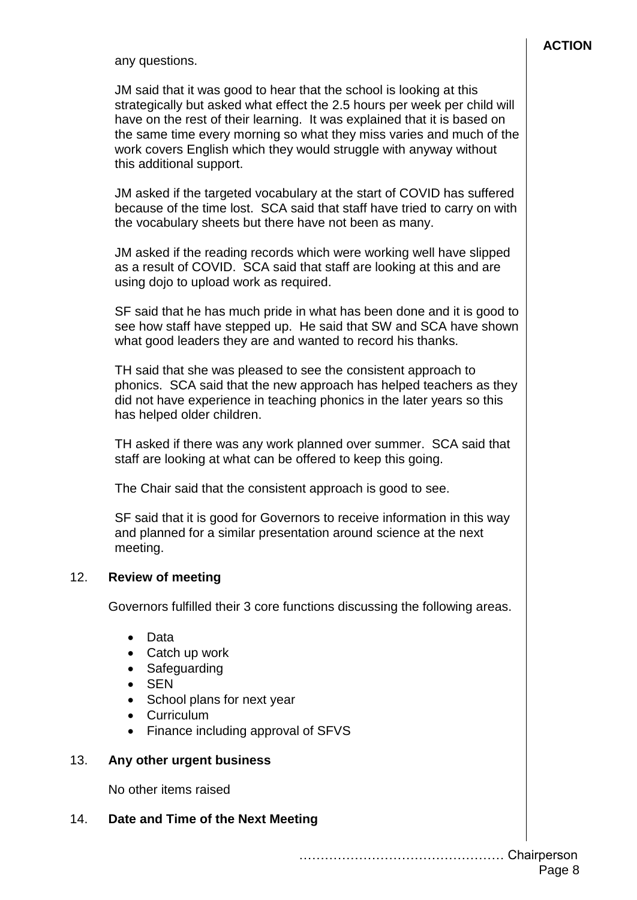any questions.

JM said that it was good to hear that the school is looking at this strategically but asked what effect the 2.5 hours per week per child will have on the rest of their learning. It was explained that it is based on the same time every morning so what they miss varies and much of the work covers English which they would struggle with anyway without this additional support.

JM asked if the targeted vocabulary at the start of COVID has suffered because of the time lost. SCA said that staff have tried to carry on with the vocabulary sheets but there have not been as many.

JM asked if the reading records which were working well have slipped as a result of COVID. SCA said that staff are looking at this and are using dojo to upload work as required.

SF said that he has much pride in what has been done and it is good to see how staff have stepped up. He said that SW and SCA have shown what good leaders they are and wanted to record his thanks.

TH said that she was pleased to see the consistent approach to phonics. SCA said that the new approach has helped teachers as they did not have experience in teaching phonics in the later years so this has helped older children.

TH asked if there was any work planned over summer. SCA said that staff are looking at what can be offered to keep this going.

The Chair said that the consistent approach is good to see.

SF said that it is good for Governors to receive information in this way and planned for a similar presentation around science at the next meeting.

#### 12. **Review of meeting**

Governors fulfilled their 3 core functions discussing the following areas.

- Data
- Catch up work
- Safeguarding
- SEN
- School plans for next year
- Curriculum
- Finance including approval of SFVS

#### 13. **Any other urgent business**

No other items raised

#### 14. **Date and Time of the Next Meeting**

………………………………………… Chairperson Page 8